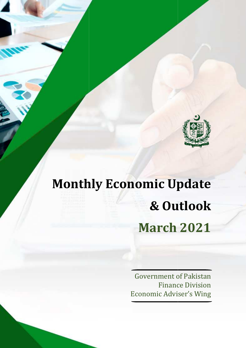

# **Monthly Economic Update & Outlook March 2021**

Government of Pakistan Finance Division Economic Adviser's Wing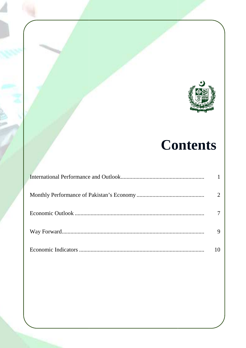

## **Contents**

| $\overline{7}$ |
|----------------|
| 9              |
| 10             |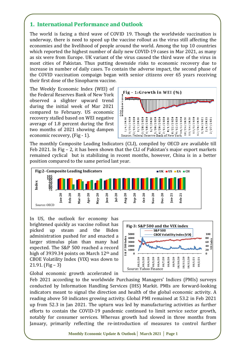#### **1. International Performance and Outlook**

The world is facing a third wave of COVID 19. Though the worldwide vaccination is underway, there is need to speed up the vaccine rollout as the virus still affecting the economies and the livelihood of people around the world. Among the top 10 countries which reported the highest number of daily new COVID-19 cases in Mar 2021, as many as six were from Europe. UK variant of the virus caused the third wave of the virus in most cities of Pakistan. Thus putting downside risks to economic recovery due to increase in number of daily cases. To contain the adverse impact, the second phase of the COVID vaccination compaign began with senior citizens over 65 years receiving their first dose of the Sinopharm vaccine.

The Weekly Economic Index (WEI) of the Federal Reserves Bank of New York observed a slighter upward trend during the initial week of Mar 2021 compared to February. US economic recovery stalled based on WEI negative average of 1.8 percent during the first two months of 2021 showing dampen economic recovery, (Fig - 1).



The monthly Composite Leading Indicators (CLI), compiled by OECD are available till Feb 2021. In Fig – 2, it has been shown that the CLI of Pakistan's major export markets remained cyclical but is stabilizing in recent months, however, China is in a better position compared to the same period last year.



In US, the outlook for economy has brightened quickly as vaccine rollout has picked up steam and the Biden administration pushed for and enacted a larger stimulus plan than many had expected. The S&P 500 reached a record high of 3939.34 points on March 12th and CBOE Volatility Index (VIX) was down to 21.91. (Fig – 3)

**Fig-3: S&P 500 and the VIX index S&P 500 5000 CBOE Volatility Index (VIX) 100 S & P 500 Index 80 4000 60 3000** 500 **2000 40 VIX 1** S&P! **1000 20 0 0 18/7/20 18/3/20 18/4/20 18/2/20 18/8/20 18/9/20 18/11/20 18/12/20 18/5/20 18/6/20 18/10/20 18/1/21 18/2/21** Source: Yahoo Finance

Global economic growth accelerated in

Feb 2021 according to the worldwide Purchasing Managers' Indices (PMIs) surveys conducted by Information Handling Services (IHS) Markit. PMIs are forward-looking indicators meant to signal the direction and health of the global economic activity. A reading above 50 indicates growing activity. Global PMI remained at 53.2 in Feb 2021 up from 52.3 in Jan 2021. The upturn was led by manufacturing activities as further efforts to contain the COVID-19 pandemic continued to limit service sector growth, notably for consumer services. Whereas growth had slowed in three months from January, primarily reflecting the re-introduction of measures to control further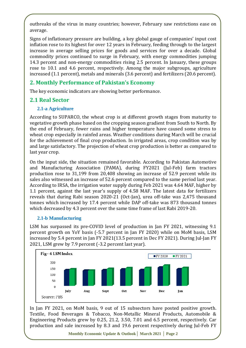outbreaks of the virus in many countries; however, February saw restrictions ease on average.

Signs of inflationary pressure are building, a key global gauge of companies' input cost inflation rose to its highest for over 12 years in February, feeding through to the largest increase in average selling prices for goods and services for over a decade. Global commodity prices continued to surge in February, with energy commodities jumping 14.3 percent and non-energy commodities rising 2.5 percent. In January, these groups rose to 10.1 and 4.6 percent, respectively. Among the major subgroups, agriculture increased (1.1 percent), metals and minerals (3.6 percent) and fertilizers (20.6 percent).

#### **2. Monthly Performance of Pakistan's Economy**

The key economic indicators are showing better performance.

#### **2.1 Real Sector**

#### **2.1-a Agriculture**

According to SUPARCO, the wheat crop is at different growth stages from maturity to vegetative growth phase based on the cropping season gradient from South to North. By the end of February, fewer rains and higher temperature have caused some stress to wheat crop especially in rainfed areas. Weather conditions during March will be crucial for the achievement of final crop production. In irrigated areas, crop condition was by and large satisfactory. The projection of wheat crop production is better as compared to last year crop.

On the input side, the situation remained favorable. According to Pakistan Automotive and Manufacturing Association (PAMA), during FY2021 (Jul-Feb) farm tractors production rose to 31,199 from 20,408 showing an increase of 52.9 percent while its sales also witnessed an increase of 52.6 percent compared to the same period last year. According to IRSA, the irrigation water supply during Feb 2021 was 4.64 MAF, higher by 1.1 percent, against the last year's supply of 4.58 MAF. The latest data for fertilizers reveals that during Rabi season 2020-21 (Oct-Jan), urea off-take was 2,475 thousand tonnes which increased by 17.4 percent while DAP off-take was 873 thousand tonnes which decreased by 4.3 percent over the same time frame of last Rabi 2019-20.

#### **2.1-b Manufacturing**

LSM has surpassed its pre-COVID level of production in Jan FY 2021, witnessing 9.1 percent growth on YoY basis (-5.7 percent in Jan FY 2020) while on MoM basis, LSM increased by 5.4 percent in Jan FY 2021(13.5 percent in Dec FY 2021). During Jul-Jan FY 2021, LSM grew by 7.9 percent (-3.2 percent last year).



In Jan FY 2021, on MoM basis, 9 out of 15 subsectors have posted positive growth. Textile, Food Beverages & Tobacco, Non-Metallic Mineral Products, Automobile & Engineering Products grew by 0.25, 21.2, 3.50, 7.01 and 6.5 percent, respectively. Car production and sale increased by 8.3 and 19.6 percent respectively during Jul-Feb FY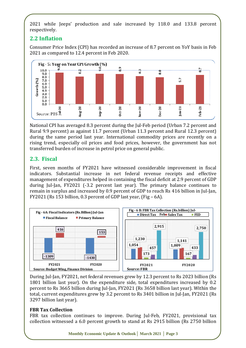2021 while Jeeps' production and sale increased by 118.0 and 133.8 percent respectively.

#### **2.2 Inflation**

Consumer Price Index (CPI) has recorded an increase of 8.7 percent on YoY basis in Feb 2021 as compared to 12.4 percent in Feb 2020.



National CPI has averaged 8.3 percent during the Jul-Feb period (Urban 7.2 percent and Rural 9.9 percent) as against 11.7 percent (Urban 11.3 percent and Rural 12.3 percent) during the same period last year. International commodity prices are recently on a rising trend, especially oil prices and food prices, however, the government has not transferred burden of increase in petrol price on general public.

#### **2.3. Fiscal**

First, seven months of FY2021 have witnessed considerable improvement in fiscal indicators. Substantial increase in net federal revenue receipts and effective management of expenditures helped in containing the fiscal deficit at 2.9 percent of GDP during Jul-Jan, FY2021 (-3.2 percent last year). The primary balance continues to remain in surplus and increased by 0.9 percent of GDP to reach Rs 416 billion in Jul-Jan, FY2021 (Rs 153 billion, 0.3 percent of GDP last year, (Fig – 6A).



During Jul-Jan, FY2021, net federal revenues grew by 12.3 percent to Rs 2023 billion (Rs 1801 billion last year). On the expenditure side, total expenditures increased by 0.2 percent to Rs 3665 billion during Jul-Jan, FY2021 (Rs 3658 billion last year). Within the total, current expenditures grew by 3.2 percent to Rs 3401 billion in Jul-Jan, FY2021 (Rs 3297 billion last year).

#### **FBR Tax Collection**

FBR tax collection continues to improve. During Jul-Feb, FY2021, provisional tax collection witnessed a 6.0 percent growth to stand at Rs 2915 billion (Rs 2750 billion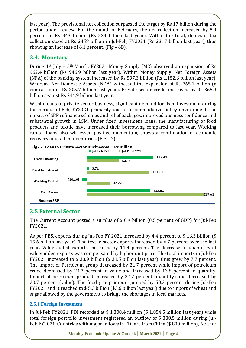last year). The provisional net collection surpassed the target by Rs 17 billion during the period under review. For the month of February, the net collection increased by 5.9 percent to Rs 343 billion (Rs 324 billion last year). Within the total, domestic tax collection stood at Rs 2458 billion in Jul-Feb, FY2021 (Rs 2317 billion last year), thus showing an increase of 6.1 percent, (Fig – 6B).

#### **2.4. Monetary**

During 1st July – 5th March, FY2021 Money Supply (M2) observed an expansion of Rs 962.4 billion (Rs 946.9 billion last year). Within Money Supply, Net Foreign Assets (NFA) of the banking system increased by Rs 597.3 billion (Rs 1,152.6 billion last year). Whereas, Net Domestic Assets (NDA) witnessed the expansion of Rs 365.1 billion (a contraction of Rs 205.7 billion last year). Private sector credit increased by Rs 365.9 billion against Rs 244.9 billion last year.

Within loans to private sector business, significant demand for fixed investment during the period Jul-Feb, FY2021 primarily due to accommodative policy environment, the impact of SBP refinance schemes and relief packages, improved business confidence and substantial growth in LSM. Under fixed investment loans, the manufacturing of food products and textile have increased their borrowing compared to last year. Working capital loans also witnessed positive momentum, shows a continuation of economic recovery and fall in inventories, (Fig – 7).



#### **2.5 External Sector**

The Current Account posted a surplus of \$ 0.9 billion (0.5 percent of GDP) for Jul-Feb FY2021.

As per PBS, exports during Jul-Feb FY 2021 increased by 4.4 percent to \$ 16.3 billion (\$ 15.6 billion last year). The textile sector exports increased by 6.7 percent over the last year. Value added exports increased by 11.4 percent. The decrease in quantities of value-added exports was compensated by higher unit price. The total imports in Jul-Feb FY2021 increased to \$ 33.9 billion (\$ 31.5 billion last year), thus grew by 7.7 percent. The import of Petroleum group decreased by 21.7 percent while import of petroleum crude decreased by 24.3 percent in value and increased by 13.8 percent in quantity. Import of petroleum product increased by 27.7 percent (quantity) and decreased by 20.7 percent (value). The food group import jumped by 50.3 percent during Jul-Feb FY2021 and it reached to \$ 5.3 billion (\$3.6 billion last year) due to import of wheat and sugar allowed by the government to bridge the shortages in local markets.

#### **2.5.1 Foreign Investment**

In Jul-Feb FY2021, FDI recorded at \$ 1,300.4 million (\$ 1,854.5 million last year) while total foreign portfolio investment registered an outflow of \$ 388.5 million during Jul-Feb FY2021. Countries with major inflows in FDI are from China (\$ 800 million), Neither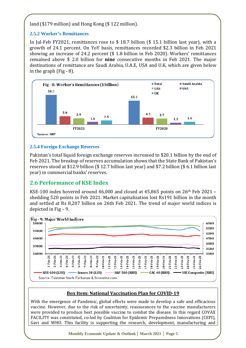land (\$179 million) and Hong Kong (\$ 122 million).

#### **2.5.2 Worker's Remittances**

In Jul-Feb FY2021, remittances rose to \$ 18.7 billion (\$ 15.1 billion last year), with a growth of 24.1 percent. On YoY basis, remittances recorded \$2.3 billion in Feb 2021 showing an increase of 24.2 percent (\$ 1.8 billion in Feb 2020). Workers' remittances remained above \$ 2.0 billion for **nine** consecutive months in Feb 2021. The major destinations of remittance are Saudi Arabia, U.A.E, USA and U.K, which are given below in the graph (Fig - 8).



#### **2.5.4 Foreign Exchange Reserves**

Pakistan's total liquid foreign exchange reserves increased to \$20.1 billion by the end of Feb 2021. The breakup of reserves accumulation shows that the State Bank of Pakistan's reserves stood at \$12.9 billion (\$ 12.7 billion last year) and \$7.2 billion (\$ 6.1 billion last year) in commercial banks' reserves.

#### **2.6 Performance of KSE Index**

KSE-100 index hovered around 46,000 and closed at 45,865 points on 26th Feb 2021 – shedding 520 points in Feb 2021. Market capitalization lost Rs191 billion in the month and settled at Rs 8,207 billion on 26th Feb 2021. The trend of major world indices is depicted in Fig – 9.



#### **Box Item: National Vaccination Plan for COVID-19**

With the emergence of Pandemic, global efforts were made to develop a safe and efficacious vaccine. However, due to the risk of uncertainty, reassurances to the vaccine manufacturers were provided to produce best possible vaccine to combat the disease. In this regard COVAX FACILITY was constituted, co-led by Coalition for Epidemic Preparedness Innovations (CEPI), Gavi and WHO. This facility is supporting the research, development, manufacturing and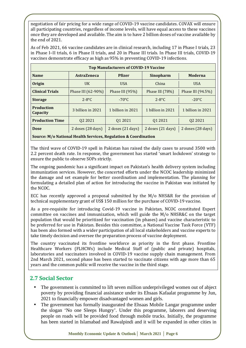negotiation of fair pricing for a wide range of COVID-19 vaccine candidates. COVAX will ensure all participating countries, regardless of income levels, will have equal access to these vaccines once they are developed and available. The aim is to have 2 billion doses of vaccine available by the end of 2021.

As of Feb 2021, 66 vaccine candidates are in clinical research, including 17 in Phase I trials, 23 in Phase I–II trials, 6 in Phase II trials, and 20 in Phase III trials. In Phase III trials, COVID-19 vaccines demonstrate efficacy as high as 95% in preventing COVID-19 infections.

| <b>Top Manufacturers of COVID-19 Vaccine</b>                    |                                 |                   |                   |                   |
|-----------------------------------------------------------------|---------------------------------|-------------------|-------------------|-------------------|
| <b>Name</b>                                                     | <b>AstraZeneca</b>              | <b>Pfizer</b>     | <b>Sinopharm</b>  | <b>Moderna</b>    |
| Origin                                                          | $_{\rm{UK}}$                    | <b>USA</b>        | China             | <b>USA</b>        |
| <b>Clinical Trials</b>                                          | Phase III (62-90%)              | Phase III (95%)   | Phase III (78%)   | Phase III (94.5%) |
| <b>Storage</b>                                                  | $2-8$ °C                        | $-70^{\circ}$ C   | $2-8$ °C          | $-20^{\circ}$ C   |
| <b>Production</b><br>Capacity                                   | 3 billion in 2021               | 1 billion in 2021 | 1 billion in 2021 | 1 billion in 2021 |
| <b>Production Time</b>                                          | Q <sub>2</sub> 20 <sub>21</sub> | 01 2021           | Q1 2021           | Q2 2021           |
| <b>Dose</b>                                                     | 2 doses (28 days)               | 2 doses (21 days) | 2 doses (21 days) | 2 doses (28 days) |
| Source: M/o National Health Services, Regulation & Coordination |                                 |                   |                   |                   |

The third wave of COVID-19 spell in Pakistan has raised the daily cases to around 3500 with 2.2 percent death rate. In response, the government has started 'smart lockdown' strategy to ensure the public to observe SOPs strictly.

The ongoing pandemic has a significant impact on Pakistan's health delivery system including immunization services. However, the concerted efforts under the NCOC leadership minimized the damage and set example for better coordination and implementation. The planning for formulating a detailed plan of action for introducing the vaccine in Pakistan was initiated by the NCOC.

ECC has recently approved a proposal submitted by the M/o NHS&R for the provision of technical supplementary grant of US\$ 150 million for the purchase of COVID-19 vaccine.

As a pre-requisite for introducing Covid-19 vaccine in Pakistan, NCOC constituted Expert committee on vaccines and immunization, which will guide the M/o NHSR&C on the target population that would be prioritized for vaccination (in phases) and vaccine characteristic to be preferred for use in Pakistan. Besides this committee, a National Vaccine Task Force (VTF) has been also formed with a wider participation of all local stakeholders and vaccine experts to take timely decision and oversee the preparation process of vaccine deployment.

The country vaccinated its frontline workforce as priority in the first phase. Frontline Healthcare Workers (FLHCWs) include Medical Staff of (public and private) hospitals, laboratories and vaccinators involved in COVID-19 vaccine supply chain management. From 2nd March 2021, second phase has been started to vaccinate citizens with age more than 65 years and the common public will receive the vaccine in the third stage.

#### **2.7 Social Sector**

- The government is committed to lift seven million underprivileged women out of abject poverty by providing financial assistance under its Ehsaas Kafaalat programme by Jun, 2021 to financially empower disadvantaged women and girls.
- The government has formally inaugurated the Ehsaas Mobile Langar programme under the slogan 'No one Sleeps Hungry'. Under this programme, laborers and deserving people on roads will be provided food through mobile trucks. Initially, the programme has been started in Islamabad and Rawalpindi and it will be expanded in other cities in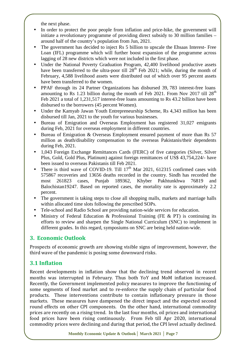the next phase.

- In order to protect the poor people from inflation and price-hike, the government will initiate a revolutionary programme of providing direct subsidy to 30 million families – around half of the country's population from Jun, 2021.
- The government has decided to inject Rs 5 billion to upscale the Ehsaas Interest- Free Loan (IFL) programme which will further boost expansion of the programme across lagging of 28 new districts which were not included in the first phase.
- Under the National Poverty Graduation Program, 42,400 livelihood productive assets have been transferred to the ultra-poor till  $28<sup>th</sup>$  Feb 2021; while, during the month of February, 4,588 livelihood assets were distributed out of which over 95 percent assets have been transferred to the women.
- PPAF through its 24 Partner Organizations has disbursed 39, 783 interest-free loans amounting to Rs 1.23 billion during the month of Feb 2021. From Nov 2017 till  $28<sup>th</sup>$ Feb 2021 a total of 1,231,517 interest-free loans amounting to Rs 43.2 billion have been disbursed to the borrowers (45 percent Women).
- Under the Kamyab Jawan Youth Entrepreneurship Scheme, Rs 4,343 million has been disbursed till Jan, 2021 to the youth for various businesses.
- Bureau of Emigration and Overseas Employment has registered 31,027 emigrants during Feb, 2021 for overseas employment in different countries.
- Bureau of Emigration & Overseas Employment ensured payment of more than Rs 57 million as death/disability compensation to the overseas Pakistanis/their dependents during Feb, 2021.
- 1,043 Foreign Exchange Remittances Cards (FERC) of five categories (Silver, Silver Plus, Gold, Gold Plus, Platinum) against foreign remittances of US\$ 43,754,224/- have been issued to overseas Pakistanis till Feb 2021.
- There is third wave of COVID-19. Till  $17<sup>th</sup>$  Mar 2021, 612315 confirmed cases with 575867 recoveries and 13656 deaths recorded in the country. Sindh has recorded the most 261823 cases, Punjab 189362, Khyber Pakhtunkhwa 76819 and Balochistan19247. Based on reported cases, the mortality rate is approximately 2.2 percent.
- The government is taking steps to close all shopping malls, markets and marriage halls within allocated time slots following the prescribed SOPs.
- Tele-school and Radio School are providing nation-wide services for education.
- Ministry of Federal Education  $\&$  Professional Training (FE  $\&$  PT) is continuing its efforts to review and sharpen the Single National Curriculum (SNC) to implement in different grades. In this regard, symposiums on SNC are being held nation-wide.

#### **3. Economic Outlook**

Prospects of economic growth are showing visible signs of improvement, however, the third wave of the pandemic is posing some downward risks.

#### **3.1 Inflation**

Recent developments in inflation show that the declining trend observed in recent months was interrupted in February. Thus both YoY and MoM inflation increased. Recently, the Government implemented policy measures to improve the functioning of some segments of food market and to re-enforce the supply chain of particular food products. These interventions contribute to contain inflationary pressure in those markets. These measures have dampened the direct impact and the expected second round effects on other CPI components. On the other hand, international commodity prices are recently on a rising trend. In the last four months, oil prices and international food prices have been rising continuously. From Feb till Apr 2020, international commodity prices were declining and during that period, the CPI level actually declined.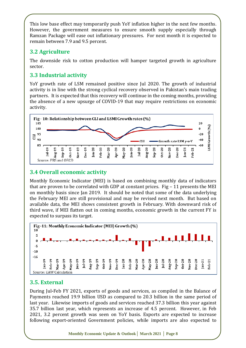This low base effect may temporarily push YoY inflation higher in the next few months. However, the government measures to ensure smooth supply especially through Ramzan Package will ease out inflationary pressures. For next month it is expected to remain between 7.9 and 9.5 percent.

#### **3.2 Agriculture**

The downside risk to cotton production will hamper targeted growth in agriculture sector.

#### **3.3 Industrial activity**

YoY growth rate of LSM remained positive since Jul 2020. The growth of industrial activity is in line with the strong cyclical recovery observed in Pakistan's main trading partners. It is expected that this recovery will continue in the coming months, providing the absence of a new upsurge of COVID-19 that may require restrictions on economic activity.



#### **3.4 Overall economic activity**

Monthly Economic Indicator (MEI) is based on combining monthly data of indicators that are proven to be correlated with GDP at constant prices. Fig – 11 presents the MEI on monthly basis since Jan 2019. It should be noted that some of the data underlying the February MEI are still provisional and may be revised next month. But based on available data, the MEI shows consistent growth in February. With downward risk of third wave, if MEI flatten out in coming months, economic growth in the current FY is expected to surpass its target.



#### **3.5. External**

During Jul**-**Feb FY 2021, exports of goods and services, as compiled in the Balance of Payments reached 19.9 billion USD as compared to 20.3 billion in the same period of last year. Likewise imports of goods and services reached 37.3 billion this year against 35.7 billion last year, which represents an increase of 4.5 percent. However, in Feb 2021, 3.2 percent growth was seen on YoY basis. Exports are expected to increase following export-oriented Government policies, while imports are also expected to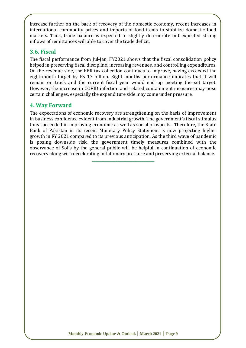increase further on the back of recovery of the domestic economy, recent increases in international commodity prices and imports of food items to stabilize domestic food markets. Thus, trade balance is expected to slightly deteriorate but expected strong inflows of remittances will able to cover the trade deficit.

#### **3.6. Fiscal**

The fiscal performance from Jul-Jan, FY2021 shows that the fiscal consolidation policy helped in preserving fiscal discipline, increasing revenues, and controlling expenditures. On the revenue side, the FBR tax collection continues to improve, having exceeded the eight-month target by Rs 17 billion. Eight months performance indicates that it will remain on track and the current fiscal year would end up meeting the set target. However, the increase in COVID infection and related containment measures may pose certain challenges, especially the expenditure side may come under pressure.

#### **4. Way Forward**

The expectations of economic recovery are strengthening on the basis of improvement in business confidence evident from industrial growth. The government's fiscal stimulus thus succeeded in improving economic as well as social prospects. Therefore, the State Bank of Pakistan in its recent Monetary Policy Statement is now projecting higher growth in FY 2021 compared to its previous anticipation. As the third wave of pandemic is posing downside risk, the government timely measures combined with the observance of SoPs by the general public will be helpful in continuation of economic recovery along with decelerating inflationary pressure and preserving external balance.

**\_\_\_\_\_\_\_\_\_\_\_\_\_\_\_\_\_\_\_\_\_\_\_\_\_\_\_\_\_\_\_\_\_\_**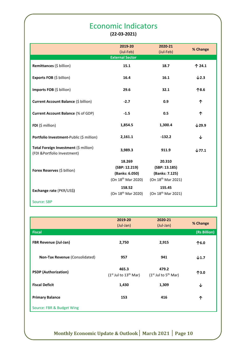### Economic Indicators

**(22-03-2021)**

|                                                                       | 2019-20<br>(Jul-Feb)                                                        | 2020-21<br>(Jul-Feb)                                                        | % Change          |
|-----------------------------------------------------------------------|-----------------------------------------------------------------------------|-----------------------------------------------------------------------------|-------------------|
|                                                                       | <b>External Sector</b>                                                      |                                                                             |                   |
| Remittances (\$ billion)                                              | 15.1                                                                        | 18.7                                                                        | 个 24.1            |
| Exports FOB (\$ billion)                                              | 16.4                                                                        | 16.1                                                                        | $\downarrow$ 2.3  |
| Imports FOB (\$ billion)                                              | 29.6                                                                        | 32.1                                                                        | 个8.6              |
| Current Account Balance (\$ billion)                                  | $-2.7$                                                                      | 0.9                                                                         | 个                 |
| <b>Current Account Balance (% of GDP)</b>                             | $-1.5$                                                                      | 0.5                                                                         | 个                 |
| FDI (\$ million)                                                      | 1,854.5                                                                     | 1,300.4                                                                     | $\downarrow$ 29.9 |
| Portfolio Investment-Public (\$ million)                              | 2,161.1                                                                     | $-132.2$                                                                    | ↓                 |
| Total Foreign Investment (\$ million)<br>(FDI & Portfolio Investment) | 3,989.3                                                                     | 911.9                                                                       | $\downarrow$ 77.1 |
| Forex Reserves (\$ billion)                                           | 18.269<br>(SBP: 12.219)<br>(Banks: 6.050)<br>(On 18 <sup>th</sup> Mar 2020) | 20.310<br>(SBP: 13.185)<br>(Banks: 7.125)<br>(On 18 <sup>th</sup> Mar 2021) |                   |
| Exchange rate (PKR/US\$)                                              | 158.52<br>(On 18 <sup>th</sup> Mar 2020)                                    | 155.45<br>(On 18 <sup>th</sup> Mar 2021)                                    |                   |
| <b>Source: SBP</b>                                                    |                                                                             |                                                                             |                   |

|                                | 2019-20<br>$(Jul-Jan)$             | 2020-21<br>(Jul-Jan)              | % Change         |
|--------------------------------|------------------------------------|-----------------------------------|------------------|
| <b>Fiscal</b>                  |                                    |                                   | (Rs Billion)     |
| <b>FBR Revenue (Jul-Jan)</b>   | 2,750                              | 2,915                             | 个6.0             |
| Non-Tax Revenue (Consolidated) | 957                                | 941                               | $\downarrow$ 1.7 |
| <b>PSDP</b> (Authorization)    | 465.3<br>$(1st$ Jul to $13th$ Mar) | 479.2<br>$(1st$ Jul to $5th$ Mar) | 个3.0             |
| <b>Fiscal Deficit</b>          | 1,430                              | 1,309                             | ↓                |
| <b>Primary Balance</b>         | 153                                | 416                               | 个                |
| Source: FBR & Budget Wing      |                                    |                                   |                  |